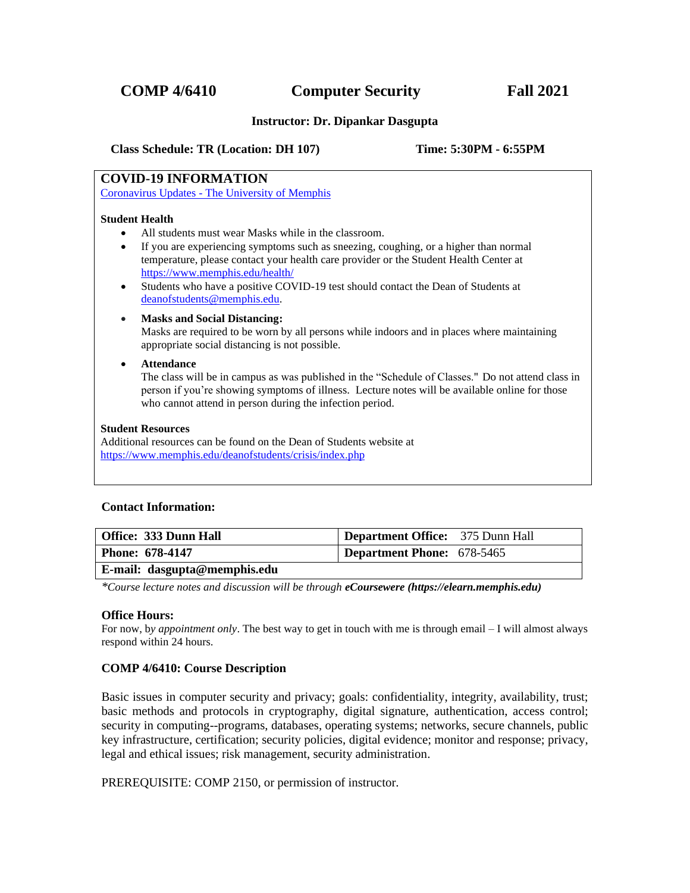### **Instructor: Dr. Dipankar Dasgupta**

 **Class Schedule: TR (Location: DH 107) Time: 5:30PM - 6:55PM**

# **COVID-19 INFORMATION**

Coronavirus Updates - [The University of Memphis](https://www.memphis.edu/coronavirusupdates/guidelines/index.php)

#### **Student Health**

- All students must wear Masks while in the classroom.
- If you are experiencing symptoms such as sneezing, coughing, or a higher than normal temperature, please contact your health care provider or the Student Health Center at <https://www.memphis.edu/health/>
- Students who have a positive COVID-19 test should contact the Dean of Students at [deanofstudents@memphis.edu.](mailto:deanofstudents@memphis.edu)

#### • **Masks and Social Distancing:**

Masks are required to be worn by all persons while indoors and in places where maintaining appropriate social distancing is not possible.

#### • **Attendance**

The class will be in campus as was published in the "Schedule of Classes." Do not attend class in person if you're showing symptoms of illness. Lecture notes will be available online for those who cannot attend in person during the infection period.

#### **Student Resources**

Additional resources can be found on the Dean of Students website at <https://www.memphis.edu/deanofstudents/crisis/index.php>

#### **Contact Information:**

| Office: 333 Dunn Hall               | <b>Department Office:</b> 375 Dunn Hall |
|-------------------------------------|-----------------------------------------|
| Phone: 678-4147                     | Department Phone: 678-5465              |
| $\Gamma$ mail, decounte memphis edu |                                         |

#### **E-mail: dasgupta@memphis.edu**

*\*Course lecture notes and discussion will be through eCoursewere (https://elearn.memphis.edu)*

#### **Office Hours:**

For now, b*y appointment only*. The best way to get in touch with me is through email – I will almost always respond within 24 hours.

#### **COMP 4/6410: Course Description**

Basic issues in computer security and privacy; goals: confidentiality, integrity, availability, trust; basic methods and protocols in cryptography, digital signature, authentication, access control; security in computing--programs, databases, operating systems; networks, secure channels, public key infrastructure, certification; security policies, digital evidence; monitor and response; privacy, legal and ethical issues; risk management, security administration.

PREREQUISITE: COMP 2150, or permission of instructor.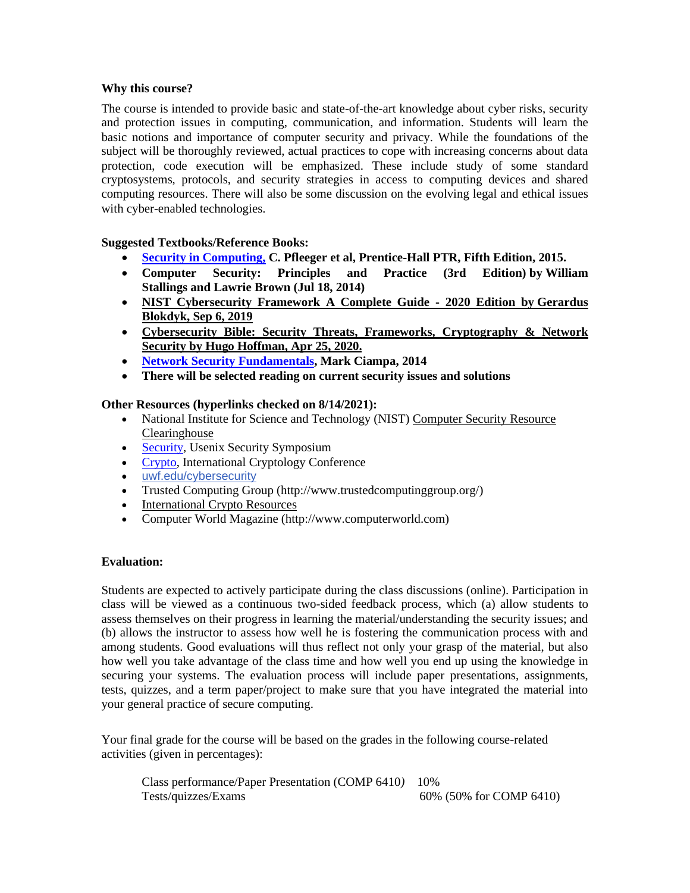# **Why this course?**

The course is intended to provide basic and state-of-the-art knowledge about cyber risks, security and protection issues in computing, communication, and information. Students will learn the basic notions and importance of computer security and privacy. While the foundations of the subject will be thoroughly reviewed, actual practices to cope with increasing concerns about data protection, code execution will be emphasized. These include study of some standard cryptosystems, protocols, and security strategies in access to computing devices and shared computing resources. There will also be some discussion on the evolving legal and ethical issues with cyber-enabled technologies.

# **Suggested Textbooks/Reference Books:**

- **[Security in Computing,](http://www.amazon.com/Security-Computing-Edition-Charles-Pfleeger/dp/0134085043) C. Pfleeger et al, Prentice-Hall PTR, Fifth Edition, 2015.**
- **[Computer Security: Principles and Practice \(3rd Edition\)](http://www.amazon.com/Computer-Security-Principles-Practice-3rd/dp/0133773922/ref=sr_1_2?s=books&ie=UTF8&qid=undefined&sr=1-2&keywords=Computer+Security+%2B+2014) by [William](http://www.amazon.com/William-Stallings/e/B00JH11P66/ref=sr_ntt_srch_lnk_2?qid=undefined&sr=1-2)  [Stallings](http://www.amazon.com/William-Stallings/e/B00JH11P66/ref=sr_ntt_srch_lnk_2?qid=undefined&sr=1-2) and [Lawrie Brown](http://www.amazon.com/Lawrie-Brown/e/B00JGW3OXI/ref=sr_ntt_srch_lnk_2?qid=undefined&sr=1-2) (Jul 18, 2014)**
- **[NIST Cybersecurity Framework A Complete Guide -](https://www.amazon.com/NIST-Cybersecurity-Framework-Complete-Guide-ebook/dp/B07XJ6J5W7/ref=sr_1_3?crid=29PU2W6MWMCV3&dchild=1&keywords=cybersecurity+2020&qid=1597529765&s=books&sprefix=CyberSecurity+2020%2Cstripbooks%2C177&sr=1-3) 2020 Edition by Gerardus Blokdyk, Sep 6, 2019**
- **Cybersecurity Bible: Security Threats, Frameworks, Cryptography & Network Security by Hugo Hoffman, Apr 25, 2020.**
- **[Network Security Fundamentals,](https://www.amazon.com/CompTIA-Security-Network-Fundamentals-CertBlaster/dp/1305093917/ref=sr_1_1?s=books&ie=UTF8&qid=1471632288&sr=1-1&keywords=%E2%80%A2%09Network+Security+Fundamentals) Mark Ciampa, 2014**
- **There will be selected reading on current security issues and solutions**

# **Other Resources (hyperlinks checked on 8/14/2021):**

- National Institute for Science and Technology (NIST) Computer Security Resource [Clearinghouse](http://csrc.nist.gov/)
- [Security,](https://www.usenix.org/conferences/byname/108) Usenix Security Symposium
- [Crypto,](http://www.iacr.org/conferences/) International Cryptology Conference
- [uwf.edu/cybersecurity](https://r20.rs6.net/tn.jsp?f=001LQqp8XMTNXEpRdMEfmZiVXQltBa4bilBdPK73gEiY3dtvjmO0T17udjc_UKKCXTUxo3OgBIKQhW0R5vaphrvSF1nYoZ3_dQ0VPZYkm_uFGTqXwT6fv8Zsn4aY1zNkLCeoy1x7wjVhd8354G6IMrAfA67NteGw0bh&c=ZTEYzEL0YzRDEN98YmCwF1LjxMswOOrIfxhzBu7Rn8UK9493p5BwNg==&ch=ZNDPwA2xTHk-NwxOz1pyHNE6KhfEXYAt2-s9MU61sZOjEA71EjcMDA==)
- Trusted Computing Group (http://www.trustedcomputinggroup.org/)
- [International Crypto Resources](http://www.cs.hut.fi/crypto)
- Computer World Magazine (http://www.computerworld.com)

# **Evaluation:**

Students are expected to actively participate during the class discussions (online). Participation in class will be viewed as a continuous two-sided feedback process, which (a) allow students to assess themselves on their progress in learning the material/understanding the security issues; and (b) allows the instructor to assess how well he is fostering the communication process with and among students. Good evaluations will thus reflect not only your grasp of the material, but also how well you take advantage of the class time and how well you end up using the knowledge in securing your systems. The evaluation process will include paper presentations, assignments, tests, quizzes, and a term paper/project to make sure that you have integrated the material into your general practice of secure computing.

Your final grade for the course will be based on the grades in the following course-related activities (given in percentages):

 Class performance/Paper Presentation (COMP 6410*)* 10% Tests/quizzes/Exams 60% (50% for COMP 6410)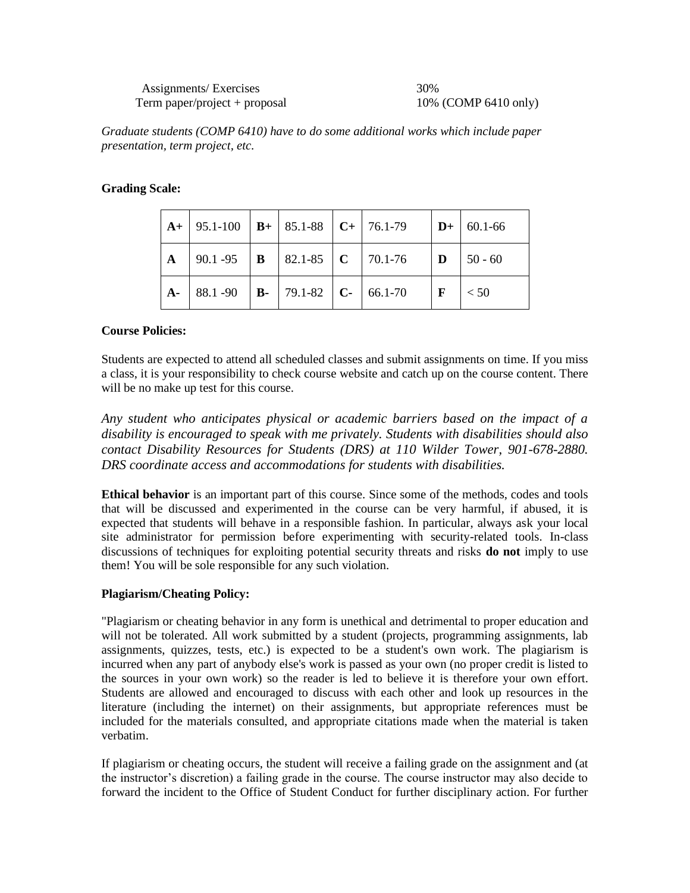*Graduate students (COMP 6410) have to do some additional works which include paper presentation, term project, etc.*

## **Grading Scale:**

|  |  | $\vert$ A+ $\vert$ 95.1-100 $\vert$ B+ $\vert$ 85.1-88 $\vert$ C+ $\vert$ 76.1-79 $\vert$ D+ $\vert$ 60.1-66               |              |
|--|--|----------------------------------------------------------------------------------------------------------------------------|--------------|
|  |  |                                                                                                                            |              |
|  |  | $\vert$ <b>A</b> - $\vert$ 88.1 -90 $\vert$ <b>B</b> - $\vert$ 79.1-82 $\vert$ <b>C</b> - $\vert$ 66.1-70 $\vert$ <b>F</b> | $\vert$ < 50 |

#### **Course Policies:**

Students are expected to attend all scheduled classes and submit assignments on time. If you miss a class, it is your responsibility to check course website and catch up on the course content. There will be no make up test for this course.

*Any student who anticipates physical or academic barriers based on the impact of a disability is encouraged to speak with me privately. Students with disabilities should also contact Disability Resources for Students (DRS) at 110 Wilder Tower, 901-678-2880. DRS coordinate access and accommodations for students with disabilities.*

**Ethical behavior** is an important part of this course. Since some of the methods, codes and tools that will be discussed and experimented in the course can be very harmful, if abused, it is expected that students will behave in a responsible fashion. In particular, always ask your local site administrator for permission before experimenting with security-related tools. In-class discussions of techniques for exploiting potential security threats and risks **do not** imply to use them! You will be sole responsible for any such violation.

# **Plagiarism/Cheating Policy:**

"Plagiarism or cheating behavior in any form is unethical and detrimental to proper education and will not be tolerated. All work submitted by a student (projects, programming assignments, lab assignments, quizzes, tests, etc.) is expected to be a student's own work. The plagiarism is incurred when any part of anybody else's work is passed as your own (no proper credit is listed to the sources in your own work) so the reader is led to believe it is therefore your own effort. Students are allowed and encouraged to discuss with each other and look up resources in the literature (including the internet) on their assignments, but appropriate references must be included for the materials consulted, and appropriate citations made when the material is taken verbatim.

If plagiarism or cheating occurs, the student will receive a failing grade on the assignment and (at the instructor's discretion) a failing grade in the course. The course instructor may also decide to forward the incident to the Office of Student Conduct for further disciplinary action. For further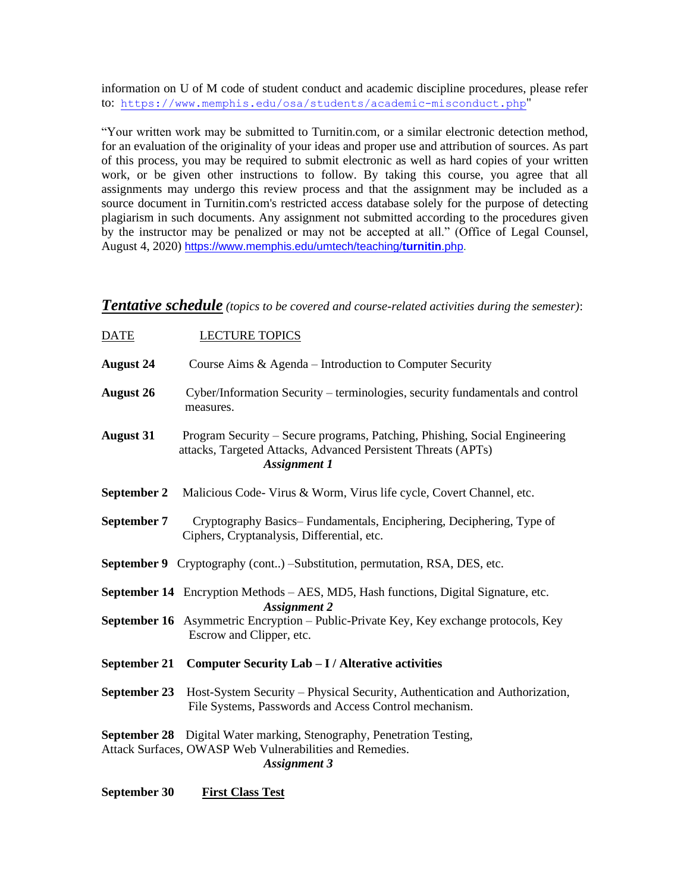information on U of M code of student conduct and academic discipline procedures, please refer to: <https://www.memphis.edu/osa/students/academic-misconduct.php>"

"Your written work may be submitted to Turnitin.com, or a similar electronic detection method, for an evaluation of the originality of your ideas and proper use and attribution of sources. As part of this process, you may be required to submit electronic as well as hard copies of your written work, or be given other instructions to follow. By taking this course, you agree that all assignments may undergo this review process and that the assignment may be included as a source document in Turnitin.com's restricted access database solely for the purpose of detecting plagiarism in such documents. Any assignment not submitted according to the procedures given by the instructor may be penalized or may not be accepted at all." (Office of Legal Counsel, August 4, 2020) [https://www.memphis.edu/umtech/teaching/](https://www.memphis.edu/umtech/teaching/turnitin.php)**turnitin**.php.

# *Tentative schedule (topics to be covered and course-related activities during the semester)*:

| <b>DATE</b>      | <b>LECTURE TOPICS</b>                                                                                                                                              |
|------------------|--------------------------------------------------------------------------------------------------------------------------------------------------------------------|
| <b>August 24</b> | Course Aims & Agenda – Introduction to Computer Security                                                                                                           |
| <b>August 26</b> | Cyber/Information Security – terminologies, security fundamentals and control<br>measures.                                                                         |
| <b>August 31</b> | Program Security – Secure programs, Patching, Phishing, Social Engineering<br>attacks, Targeted Attacks, Advanced Persistent Threats (APTs)<br><b>Assignment 1</b> |
| September 2      | Malicious Code-Virus & Worm, Virus life cycle, Covert Channel, etc.                                                                                                |
| September 7      | Cryptography Basics–Fundamentals, Enciphering, Deciphering, Type of<br>Ciphers, Cryptanalysis, Differential, etc.                                                  |
|                  | <b>September 9</b> Cryptography (cont) –Substitution, permutation, RSA, DES, etc.                                                                                  |
|                  | <b>September 14</b> Encryption Methods – AES, MD5, Hash functions, Digital Signature, etc.<br><b>Assignment 2</b>                                                  |
|                  | September 16 Asymmetric Encryption - Public-Private Key, Key exchange protocols, Key<br>Escrow and Clipper, etc.                                                   |
|                  | September 21 Computer Security Lab - I / Alterative activities                                                                                                     |
| September 23     | Host-System Security – Physical Security, Authentication and Authorization,<br>File Systems, Passwords and Access Control mechanism.                               |
|                  | <b>September 28</b> Digital Water marking, Stenography, Penetration Testing,<br>Attack Surfaces, OWASP Web Vulnerabilities and Remedies.<br><b>Assignment 3</b>    |

**September 30** First Class Test